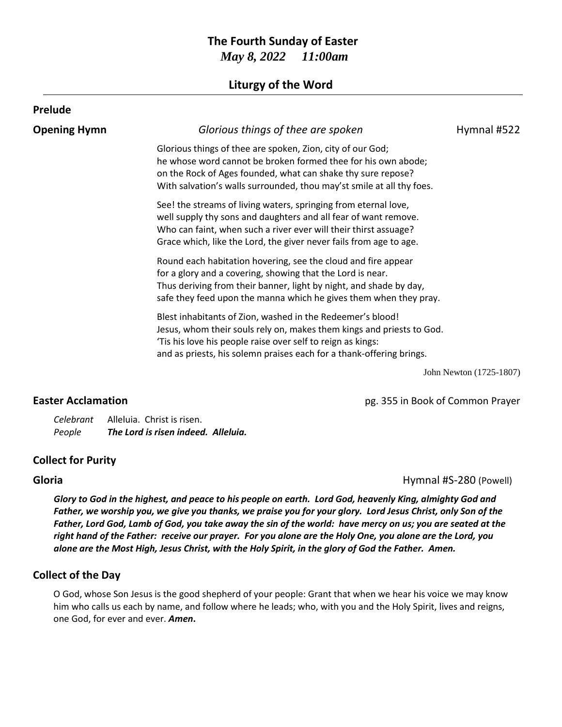# **The Fourth Sunday of Easter** *May 8, 2022 11:00am*

## **Liturgy of the Word**

| Glorious things of thee are spoken                                                                                                                                                                                                                                           | Hymnal #522 |
|------------------------------------------------------------------------------------------------------------------------------------------------------------------------------------------------------------------------------------------------------------------------------|-------------|
| Glorious things of thee are spoken, Zion, city of our God;<br>he whose word cannot be broken formed thee for his own abode;<br>on the Rock of Ages founded, what can shake thy sure repose?<br>With salvation's walls surrounded, thou may'st smile at all thy foes.         |             |
| See! the streams of living waters, springing from eternal love,<br>well supply thy sons and daughters and all fear of want remove.<br>Who can faint, when such a river ever will their thirst assuage?<br>Grace which, like the Lord, the giver never fails from age to age. |             |
| Round each habitation hovering, see the cloud and fire appear<br>for a glory and a covering, showing that the Lord is near.<br>Thus deriving from their banner, light by night, and shade by day,<br>safe they feed upon the manna which he gives them when they pray.       |             |
| Blest inhabitants of Zion, washed in the Redeemer's blood!<br>Jesus, whom their souls rely on, makes them kings and priests to God.<br>'Tis his love his people raise over self to reign as kings:<br>and as priests, his solemn praises each for a thank-offering brings.   |             |
|                                                                                                                                                                                                                                                                              |             |

John Newton (1725-1807)

**Easter Acclamation Easter Acclamation pg. 355 in Book of Common Prayer** 

*Celebrant* Alleluia. Christ is risen. *People The Lord is risen indeed. Alleluia.*

## **Collect for Purity**

**Gloria** Hymnal #S-280 (Powell)

*Glory to God in the highest, and peace to his people on earth. Lord God, heavenly King, almighty God and Father, we worship you, we give you thanks, we praise you for your glory. Lord Jesus Christ, only Son of the Father, Lord God, Lamb of God, you take away the sin of the world: have mercy on us; you are seated at the right hand of the Father: receive our prayer. For you alone are the Holy One, you alone are the Lord, you alone are the Most High, Jesus Christ, with the Holy Spirit, in the glory of God the Father. Amen.*

## **Collect of the Day**

O God, whose Son Jesus is the good shepherd of your people: Grant that when we hear his voice we may know him who calls us each by name, and follow where he leads; who, with you and the Holy Spirit, lives and reigns, one God, for ever and ever. *Amen***.**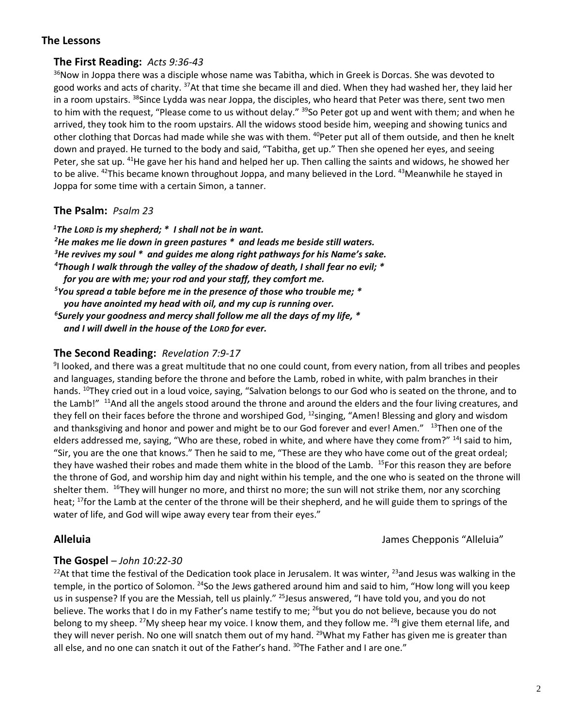## **The Lessons**

## **The First Reading:** *Acts 9:36-43*

<sup>36</sup>Now in Joppa there was a disciple whose name was Tabitha, which in Greek is Dorcas. She was devoted to good works and acts of charity. <sup>37</sup>At that time she became ill and died. When they had washed her, they laid her in a room upstairs. <sup>38</sup>Since Lydda was near Joppa, the disciples, who heard that Peter was there, sent two men to him with the request, "Please come to us without delay." <sup>39</sup>So Peter got up and went with them; and when he arrived, they took him to the room upstairs. All the widows stood beside him, weeping and showing tunics and other clothing that Dorcas had made while she was with them. <sup>40</sup>Peter put all of them outside, and then he knelt down and prayed. He turned to the body and said, "Tabitha, get up." Then she opened her eyes, and seeing Peter, she sat up. <sup>41</sup>He gave her his hand and helped her up. Then calling the saints and widows, he showed her to be alive. <sup>42</sup>This became known throughout Joppa, and many believed in the Lord. <sup>43</sup>Meanwhile he stayed in Joppa for some time with a certain Simon, a tanner.

## **The Psalm:** *Psalm 23*

*The LORD is my shepherd; \* I shall not be in want. He makes me lie down in green pastures \* and leads me beside still waters. He revives my soul \* and guides me along right pathways for his Name's sake. Though I walk through the valley of the shadow of death, I shall fear no evil; \* for you are with me; your rod and your staff, they comfort me. You spread a table before me in the presence of those who trouble me; \* you have anointed my head with oil, and my cup is running over. Surely your goodness and mercy shall follow me all the days of my life, \* and I will dwell in the house of the LORD for ever.*

## **The Second Reading:** *Revelation 7:9-17*

<sup>9</sup>I looked, and there was a great multitude that no one could count, from every nation, from all tribes and peoples and languages, standing before the throne and before the Lamb, robed in white, with palm branches in their hands. <sup>10</sup>They cried out in a loud voice, saying, "Salvation belongs to our God who is seated on the throne, and to the Lamb!" <sup>11</sup>And all the angels stood around the throne and around the elders and the four living creatures, and they fell on their faces before the throne and worshiped God, <sup>12</sup>singing, "Amen! Blessing and glory and wisdom and thanksgiving and honor and power and might be to our God forever and ever! Amen." <sup>13</sup>Then one of the elders addressed me, saying, "Who are these, robed in white, and where have they come from?" <sup>14</sup>I said to him, "Sir, you are the one that knows." Then he said to me, "These are they who have come out of the great ordeal; they have washed their robes and made them white in the blood of the Lamb. <sup>15</sup>For this reason they are before the throne of God, and worship him day and night within his temple, and the one who is seated on the throne will shelter them. <sup>16</sup>They will hunger no more, and thirst no more; the sun will not strike them, nor any scorching heat; <sup>17</sup>for the Lamb at the center of the throne will be their shepherd, and he will guide them to springs of the water of life, and God will wipe away every tear from their eyes."

**Alleluia** James Chepponis "Alleluia"

## **The Gospel** – *John 10:22-30*

<sup>22</sup>At that time the festival of the Dedication took place in Jerusalem. It was winter, <sup>23</sup>and Jesus was walking in the temple, in the portico of Solomon. <sup>24</sup>So the Jews gathered around him and said to him, "How long will you keep us in suspense? If you are the Messiah, tell us plainly." <sup>25</sup>Jesus answered, "I have told you, and you do not believe. The works that I do in my Father's name testify to me; <sup>26</sup>but you do not believe, because you do not belong to my sheep. <sup>27</sup>My sheep hear my voice. I know them, and they follow me. <sup>28</sup>I give them eternal life, and they will never perish. No one will snatch them out of my hand. <sup>29</sup>What my Father has given me is greater than all else, and no one can snatch it out of the Father's hand. <sup>30</sup>The Father and I are one."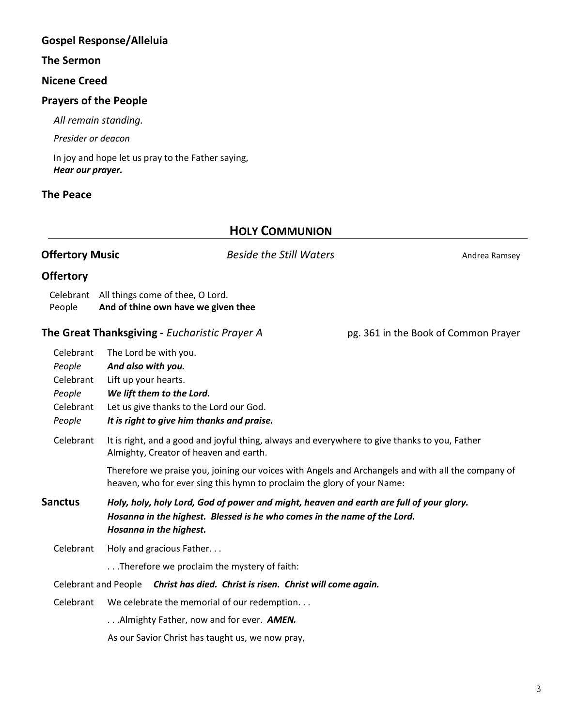# **Gospel Response/Alleluia**

## **The Sermon**

## **Nicene Creed**

## **Prayers of the People**

*All remain standing.*

*Presider or deacon*

In joy and hope let us pray to the Father saying, *Hear our prayer.*

# **The Peace**

# **HOLY COMMUNION**

| <b>Offertory Music</b>                                            |                                                                                                                                                                                                | <b>Beside the Still Waters</b>                                                                                                                                                |  | Andrea Ramsey                        |  |
|-------------------------------------------------------------------|------------------------------------------------------------------------------------------------------------------------------------------------------------------------------------------------|-------------------------------------------------------------------------------------------------------------------------------------------------------------------------------|--|--------------------------------------|--|
| <b>Offertory</b>                                                  |                                                                                                                                                                                                |                                                                                                                                                                               |  |                                      |  |
| People                                                            |                                                                                                                                                                                                | Celebrant All things come of thee, O Lord.<br>And of thine own have we given thee                                                                                             |  |                                      |  |
|                                                                   |                                                                                                                                                                                                | The Great Thanksgiving - Eucharistic Prayer A                                                                                                                                 |  | pg. 361 in the Book of Common Prayer |  |
| Celebrant<br>People<br>Celebrant<br>People<br>Celebrant<br>People | And also with you.<br>Lift up your hearts.                                                                                                                                                     | The Lord be with you.<br>We lift them to the Lord.<br>Let us give thanks to the Lord our God.<br>It is right to give him thanks and praise.                                   |  |                                      |  |
| Celebrant                                                         | It is right, and a good and joyful thing, always and everywhere to give thanks to you, Father<br>Almighty, Creator of heaven and earth.                                                        |                                                                                                                                                                               |  |                                      |  |
|                                                                   |                                                                                                                                                                                                | Therefore we praise you, joining our voices with Angels and Archangels and with all the company of<br>heaven, who for ever sing this hymn to proclaim the glory of your Name: |  |                                      |  |
| <b>Sanctus</b>                                                    | Holy, holy, holy Lord, God of power and might, heaven and earth are full of your glory.<br>Hosanna in the highest. Blessed is he who comes in the name of the Lord.<br>Hosanna in the highest. |                                                                                                                                                                               |  |                                      |  |
| Celebrant                                                         |                                                                                                                                                                                                | Holy and gracious Father                                                                                                                                                      |  |                                      |  |
|                                                                   |                                                                                                                                                                                                | Therefore we proclaim the mystery of faith:                                                                                                                                   |  |                                      |  |
|                                                                   |                                                                                                                                                                                                | Celebrant and People Christ has died. Christ is risen. Christ will come again.                                                                                                |  |                                      |  |
| Celebrant                                                         | We celebrate the memorial of our redemption                                                                                                                                                    |                                                                                                                                                                               |  |                                      |  |
|                                                                   |                                                                                                                                                                                                | Almighty Father, now and for ever. AMEN.                                                                                                                                      |  |                                      |  |
|                                                                   |                                                                                                                                                                                                | As our Savior Christ has taught us, we now pray,                                                                                                                              |  |                                      |  |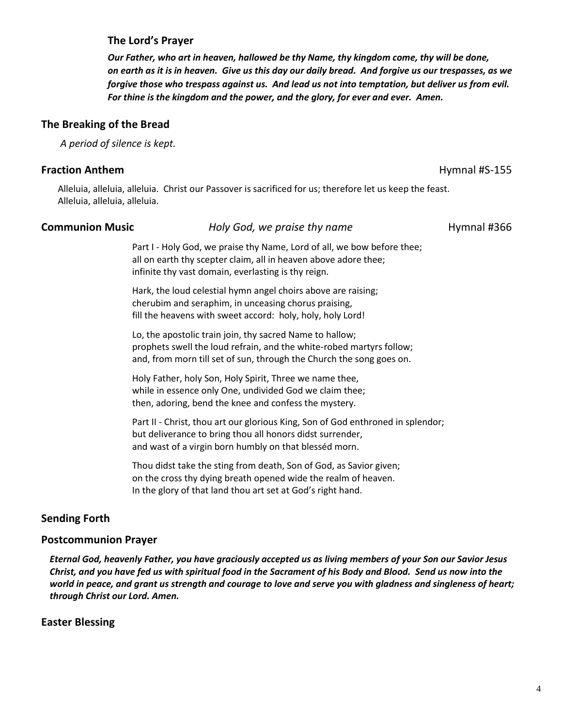## **The Lord's Prayer**

*Our Father, who art in heaven, hallowed be thy Name, thy kingdom come, thy will be done, on earth as it is in heaven. Give us this day our daily bread. And forgive us our trespasses, as we forgive those who trespass against us. And lead us not into temptation, but deliver us from evil. For thine is the kingdom and the power, and the glory, for ever and ever. Amen.*

## **The Breaking of the Bread**

*A period of silence is kept.*

## **Fraction Anthem** Hymnal #S-155

Alleluia, alleluia, alleluia. Christ our Passover is sacrificed for us; therefore let us keep the feast. Alleluia, alleluia, alleluia.

#### **Communion Music** *Holy God, we praise thy name* **Hymnal #366**

Part I - Holy God, we praise thy Name, Lord of all, we bow before thee; all on earth thy scepter claim, all in heaven above adore thee; infinite thy vast domain, everlasting is thy reign.

Hark, the loud celestial hymn angel choirs above are raising; cherubim and seraphim, in unceasing chorus praising, fill the heavens with sweet accord: holy, holy, holy Lord!

Lo, the apostolic train join, thy sacred Name to hallow; prophets swell the loud refrain, and the white-robed martyrs follow; and, from morn till set of sun, through the Church the song goes on.

Holy Father, holy Son, Holy Spirit, Three we name thee, while in essence only One, undivided God we claim thee; then, adoring, bend the knee and confess the mystery.

Part II - Christ, thou art our glorious King, Son of God enthroned in splendor; but deliverance to bring thou all honors didst surrender, and wast of a virgin born humbly on that blesséd morn.

Thou didst take the sting from death, Son of God, as Savior given; on the cross thy dying breath opened wide the realm of heaven. In the glory of that land thou art set at God's right hand.

## **Sending Forth**

## **Postcommunion Prayer**

*Eternal God, heavenly Father, you have graciously accepted us as living members of your Son our Savior Jesus Christ, and you have fed us with spiritual food in the Sacrament of his Body and Blood. Send us now into the world in peace, and grant us strength and courage to love and serve you with gladness and singleness of heart; through Christ our Lord. Amen.*

## **Easter Blessing**